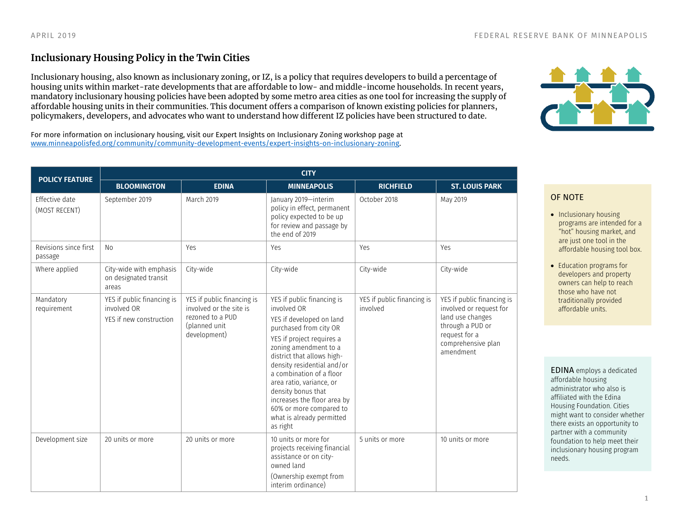## **Inclusionary Housing Policy in the Twin Cities**

Inclusionary housing, also known as inclusionary zoning, or IZ, is a policy that requires developers to build a percentage of housing units within market-rate developments that are affordable to low- and middle-income households. In recent years, mandatory inclusionary housing policies have been adopted by some metro area cities as one tool for increasing the supply of affordable housing units in their communities. This document offers a comparison of known existing policies for planners, policymakers, developers, and advocates who want to understand how different IZ policies have been structured to date.

For more information on inclusionary housing, visit our Expert Insights on Inclusionary Zoning workshop page at [www.minneapolisfed.org/community/community-development-events/expert-insights-on-inclusionary-zoning.](http://www.minneapolisfed.org/community/community-development-events/expert-insights-on-inclusionary-zoning)

| <b>POLICY FEATURE</b>            | <b>CITY</b>                                                          |                                                                                                            |                                                                                                                                                                                                                                                                                                                                                                                                    |                                        |                                                                                                                                                   |  |
|----------------------------------|----------------------------------------------------------------------|------------------------------------------------------------------------------------------------------------|----------------------------------------------------------------------------------------------------------------------------------------------------------------------------------------------------------------------------------------------------------------------------------------------------------------------------------------------------------------------------------------------------|----------------------------------------|---------------------------------------------------------------------------------------------------------------------------------------------------|--|
|                                  | <b>BLOOMINGTON</b>                                                   | <b>EDINA</b>                                                                                               | <b>MINNEAPOLIS</b>                                                                                                                                                                                                                                                                                                                                                                                 | <b>RICHFIELD</b>                       | <b>ST. LOUIS PARK</b>                                                                                                                             |  |
| Effective date<br>(MOST RECENT)  | September 2019                                                       | March 2019                                                                                                 | January 2019-interim<br>policy in effect, permanent<br>policy expected to be up<br>for review and passage by<br>the end of 2019                                                                                                                                                                                                                                                                    | October 2018                           | May 2019                                                                                                                                          |  |
| Revisions since first<br>passage | No                                                                   | Yes                                                                                                        | Yes                                                                                                                                                                                                                                                                                                                                                                                                | Yes                                    | Yes                                                                                                                                               |  |
| Where applied                    | City-wide with emphasis<br>on designated transit<br>areas            | City-wide                                                                                                  | City-wide                                                                                                                                                                                                                                                                                                                                                                                          | City-wide                              | City-wide                                                                                                                                         |  |
| Mandatory<br>requirement         | YES if public financing is<br>involved OR<br>YES if new construction | YES if public financing is<br>involved or the site is<br>rezoned to a PUD<br>(planned unit<br>development) | YES if public financing is<br>involved OR<br>YES if developed on land<br>purchased from city OR<br>YES if project requires a<br>zoning amendment to a<br>district that allows high-<br>density residential and/or<br>a combination of a floor<br>area ratio, variance, or<br>density bonus that<br>increases the floor area by<br>60% or more compared to<br>what is already permitted<br>as right | YES if public financing is<br>involved | YES if public financing is<br>involved or request for<br>land use changes<br>through a PUD or<br>request for a<br>comprehensive plan<br>amendment |  |
| Development size                 | 20 units or more                                                     | 20 units or more                                                                                           | 10 units or more for<br>projects receiving financial<br>assistance or on city-<br>owned land<br>(Ownership exempt from<br>interim ordinance)                                                                                                                                                                                                                                                       | 5 units or more                        | 10 units or more                                                                                                                                  |  |



## OF NOTE

- Inclusionary housing programs are intended for a "hot" housing market, and are just one tool in the affordable housing tool box.
- Education programs for developers and property owners can help to reach those who have not traditionally provided affordable units.

EDINA employs a dedicated affordable housing administrator who also is affiliated with the Edina Housing Foundation. Cities might want to consider whether there exists an opportunity to partner with a community foundation to help meet their inclusionary housing program needs.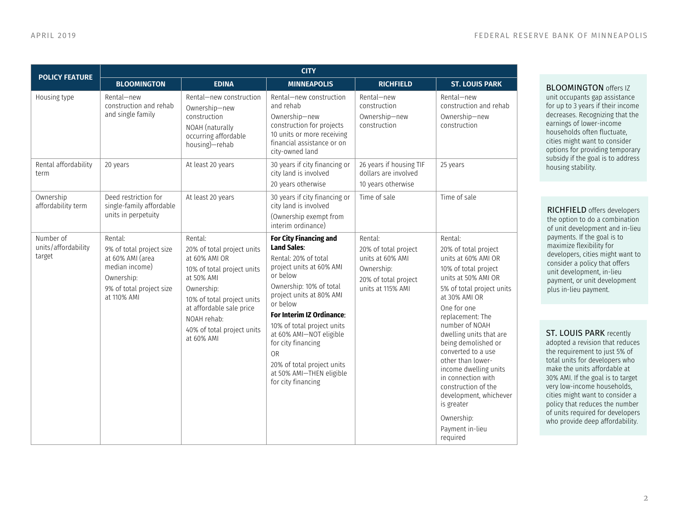| <b>POLICY FEATURE</b>                      | <b>CITY</b>                                                                                                                        |                                                                                                                                                                                                                                       |                                                                                                                                                                                                                                                                                                                                                                                                 |                                                                                                                |                                                                                                                                                                                                                                                                                                                                                                                                                                                                  |  |
|--------------------------------------------|------------------------------------------------------------------------------------------------------------------------------------|---------------------------------------------------------------------------------------------------------------------------------------------------------------------------------------------------------------------------------------|-------------------------------------------------------------------------------------------------------------------------------------------------------------------------------------------------------------------------------------------------------------------------------------------------------------------------------------------------------------------------------------------------|----------------------------------------------------------------------------------------------------------------|------------------------------------------------------------------------------------------------------------------------------------------------------------------------------------------------------------------------------------------------------------------------------------------------------------------------------------------------------------------------------------------------------------------------------------------------------------------|--|
|                                            | <b>BLOOMINGTON</b>                                                                                                                 | <b>EDINA</b>                                                                                                                                                                                                                          | <b>MINNEAPOLIS</b>                                                                                                                                                                                                                                                                                                                                                                              | <b>RICHFIELD</b>                                                                                               | <b>ST. LOUIS PARK</b>                                                                                                                                                                                                                                                                                                                                                                                                                                            |  |
| Housing type                               | Rental-new<br>construction and rehab<br>and single family                                                                          | Rental-new construction<br>Ownership-new<br>construction<br>NOAH (naturally<br>occurring affordable<br>housing)-rehab                                                                                                                 | Rental-new construction<br>and rehab<br>Ownership-new<br>construction for projects<br>10 units or more receiving<br>financial assistance or on<br>city-owned land                                                                                                                                                                                                                               | Rental-new<br>construction<br>Ownership-new<br>construction                                                    | Rental-new<br>construction and rehab<br>Ownership-new<br>construction                                                                                                                                                                                                                                                                                                                                                                                            |  |
| Rental affordability<br>term               | 20 years                                                                                                                           | At least 20 years                                                                                                                                                                                                                     | 30 years if city financing or<br>city land is involved<br>20 years otherwise                                                                                                                                                                                                                                                                                                                    | 26 years if housing TIF<br>dollars are involved<br>10 years otherwise                                          | 25 years                                                                                                                                                                                                                                                                                                                                                                                                                                                         |  |
| Ownership<br>affordability term            | Deed restriction for<br>single-family affordable<br>units in perpetuity                                                            | At least 20 years                                                                                                                                                                                                                     | 30 years if city financing or<br>city land is involved<br>(Ownership exempt from<br>interim ordinance)                                                                                                                                                                                                                                                                                          | Time of sale                                                                                                   | Time of sale                                                                                                                                                                                                                                                                                                                                                                                                                                                     |  |
| Number of<br>units/affordability<br>target | Rental:<br>9% of total project size<br>at 60% AMI (area<br>median income)<br>Ownership:<br>9% of total project size<br>at 110% AMI | Rental:<br>20% of total project units<br>at 60% AMI OR<br>10% of total project units<br>at 50% AMI<br>Ownership:<br>10% of total project units<br>at affordable sale price<br>NOAH rehab:<br>40% of total project units<br>at 60% AMI | <b>For City Financing and</b><br><b>Land Sales:</b><br>Rental: 20% of total<br>project units at 60% AMI<br>or below<br>Ownership: 10% of total<br>project units at 80% AMI<br>or below<br>For Interim IZ Ordinance:<br>10% of total project units<br>at 60% AMI-NOT eligible<br>for city financing<br><b>OR</b><br>20% of total project units<br>at 50% AMI-THEN eligible<br>for city financing | Rental:<br>20% of total project<br>units at 60% AMI<br>Ownership:<br>20% of total project<br>units at 115% AMI | Rental:<br>20% of total project<br>units at 60% AMI OR<br>10% of total project<br>units at 50% AMI OR<br>5% of total project units<br>at 30% AMI OR<br>One for one<br>replacement: The<br>number of NOAH<br>dwelling units that are<br>being demolished or<br>converted to a use<br>other than lower-<br>income dwelling units<br>in connection with<br>construction of the<br>development, whichever<br>is greater<br>Ownership:<br>Payment in-lieu<br>required |  |

**BLOOMINGTON** offers IZ unit occupants gap assistance for up to 3 years if their income decreases. Recognizing that the earnings of lower-income households often fluctuate, cities might want to consider options for providing temporary subsidy if the goal is to address housing stability.

RICHFIELD offers developers the option to do a combination of unit development and in-lieu payments. If the goal is to maximize flexibility for developers, cities might want to consider a policy that offers unit development, in-lieu payment, or unit development plus in-lieu payment.

ST. LOUIS PARK recently adopted a revision that reduces the requirement to just 5% of total units for developers who make the units affordable at 30% AMI. If the goal is to target very low-income households, cities might want to consider a policy that reduces the number of units required for developers who provide deep affordability.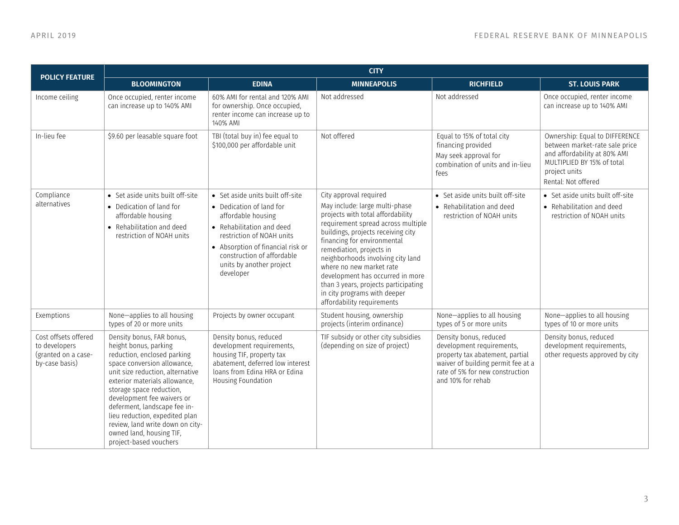| <b>POLICY FEATURE</b>                                                          | <b>CITY</b>                                                                                                                                                                                                                                                                                                                                                                                                 |                                                                                                                                                                                                                                                          |                                                                                                                                                                                                                                                                                                                                                                                                                                                 |                                                                                                                                                                                      |                                                                                                                                                                        |  |
|--------------------------------------------------------------------------------|-------------------------------------------------------------------------------------------------------------------------------------------------------------------------------------------------------------------------------------------------------------------------------------------------------------------------------------------------------------------------------------------------------------|----------------------------------------------------------------------------------------------------------------------------------------------------------------------------------------------------------------------------------------------------------|-------------------------------------------------------------------------------------------------------------------------------------------------------------------------------------------------------------------------------------------------------------------------------------------------------------------------------------------------------------------------------------------------------------------------------------------------|--------------------------------------------------------------------------------------------------------------------------------------------------------------------------------------|------------------------------------------------------------------------------------------------------------------------------------------------------------------------|--|
|                                                                                | <b>BLOOMINGTON</b>                                                                                                                                                                                                                                                                                                                                                                                          | <b>EDINA</b>                                                                                                                                                                                                                                             | <b>MINNEAPOLIS</b>                                                                                                                                                                                                                                                                                                                                                                                                                              | <b>RICHFIELD</b>                                                                                                                                                                     | <b>ST. LOUIS PARK</b>                                                                                                                                                  |  |
| Income ceiling                                                                 | Once occupied, renter income<br>can increase up to 140% AMI                                                                                                                                                                                                                                                                                                                                                 | 60% AMI for rental and 120% AMI<br>for ownership. Once occupied,<br>renter income can increase up to<br>140% AMI                                                                                                                                         | Not addressed                                                                                                                                                                                                                                                                                                                                                                                                                                   | Not addressed                                                                                                                                                                        | Once occupied, renter income<br>can increase up to 140% AMI                                                                                                            |  |
| In-lieu fee                                                                    | \$9.60 per leasable square foot                                                                                                                                                                                                                                                                                                                                                                             | TBI (total buy in) fee equal to<br>\$100,000 per affordable unit                                                                                                                                                                                         | Not offered                                                                                                                                                                                                                                                                                                                                                                                                                                     | Equal to 15% of total city<br>financing provided<br>May seek approval for<br>combination of units and in-lieu<br>fees                                                                | Ownership: Equal to DIFFERENCE<br>between market-rate sale price<br>and affordability at 80% AMI<br>MULTIPLIED BY 15% of total<br>project units<br>Rental: Not offered |  |
| Compliance<br>alternatives                                                     | • Set aside units built off-site<br>• Dedication of land for<br>affordable housing<br>• Rehabilitation and deed<br>restriction of NOAH units                                                                                                                                                                                                                                                                | • Set aside units built off-site<br>• Dedication of land for<br>affordable housing<br>• Rehabilitation and deed<br>restriction of NOAH units<br>• Absorption of financial risk or<br>construction of affordable<br>units by another project<br>developer | City approval required<br>May include: large multi-phase<br>projects with total affordability<br>requirement spread across multiple<br>buildings, projects receiving city<br>financing for environmental<br>remediation, projects in<br>neighborhoods involving city land<br>where no new market rate<br>development has occurred in more<br>than 3 years, projects participating<br>in city programs with deeper<br>affordability requirements | • Set aside units built off-site<br>• Rehabilitation and deed<br>restriction of NOAH units                                                                                           | • Set aside units built off-site<br>• Rehabilitation and deed<br>restriction of NOAH units                                                                             |  |
| Exemptions                                                                     | None-applies to all housing<br>types of 20 or more units                                                                                                                                                                                                                                                                                                                                                    | Projects by owner occupant                                                                                                                                                                                                                               | Student housing, ownership<br>projects (interim ordinance)                                                                                                                                                                                                                                                                                                                                                                                      | None-applies to all housing<br>types of 5 or more units                                                                                                                              | None-applies to all housing<br>types of 10 or more units                                                                                                               |  |
| Cost offsets offered<br>to developers<br>(granted on a case-<br>by-case basis) | Density bonus, FAR bonus,<br>height bonus, parking<br>reduction, enclosed parking<br>space conversion allowance,<br>unit size reduction, alternative<br>exterior materials allowance,<br>storage space reduction,<br>development fee waivers or<br>deferment, landscape fee in-<br>lieu reduction, expedited plan<br>review, land write down on city-<br>owned land, housing TIF,<br>project-based vouchers | Density bonus, reduced<br>development requirements,<br>housing TIF, property tax<br>abatement, deferred low interest<br>loans from Edina HRA or Edina<br>Housing Foundation                                                                              | TIF subsidy or other city subsidies<br>(depending on size of project)                                                                                                                                                                                                                                                                                                                                                                           | Density bonus, reduced<br>development requirements,<br>property tax abatement, partial<br>waiver of building permit fee at a<br>rate of 5% for new construction<br>and 10% for rehab | Density bonus, reduced<br>development requirements,<br>other requests approved by city                                                                                 |  |